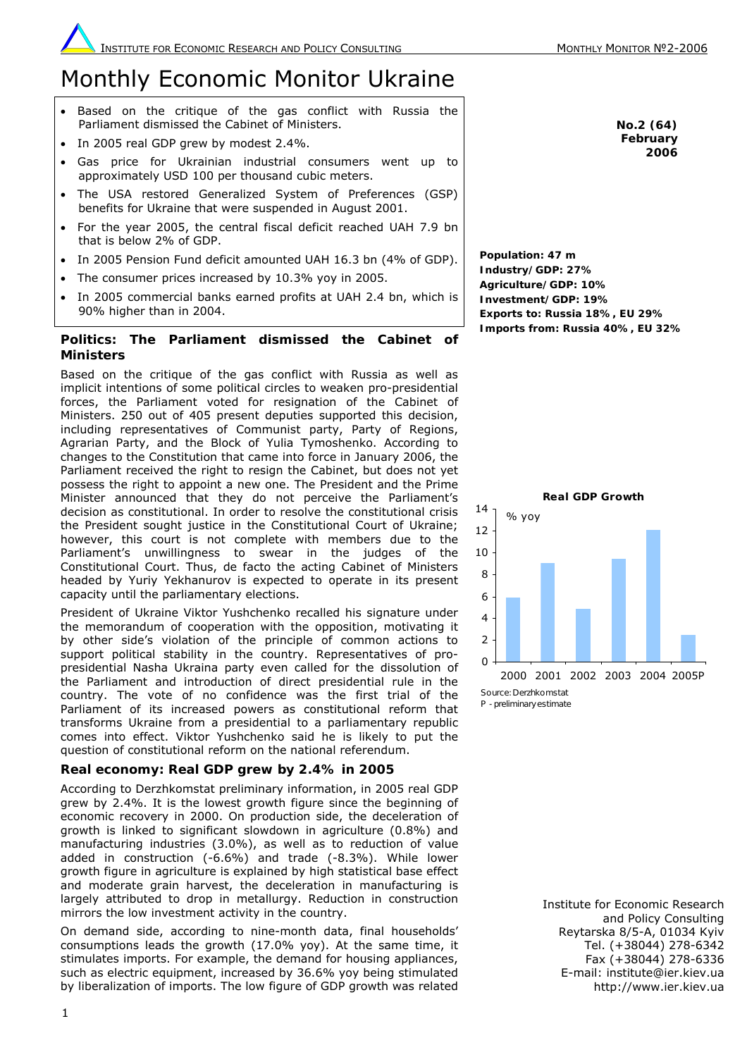# Monthly Economic Monitor Ukraine

- Based on the critique of the gas conflict with Russia the Parliament dismissed the Cabinet of Ministers.
- In 2005 real GDP grew by modest 2.4%.
- Gas price for Ukrainian industrial consumers went up to approximately USD 100 per thousand cubic meters.
- The USA restored Generalized System of Preferences (GSP) benefits for Ukraine that were suspended in August 2001.
- For the year 2005, the central fiscal deficit reached UAH 7.9 bn that is below 2% of GDP.
- In 2005 Pension Fund deficit amounted UAH 16.3 bn (4% of GDP).
- The consumer prices increased by 10.3% yoy in 2005.
- In 2005 commercial banks earned profits at UAH 2.4 bn, which is 90% higher than in 2004.

# **Politics: The Parliament dismissed the Cabinet of Ministers**

Based on the critique of the gas conflict with Russia as well as implicit intentions of some political circles to weaken pro-presidential forces, the Parliament voted for resignation of the Cabinet of Ministers. 250 out of 405 present deputies supported this decision, including representatives of Communist party, Party of Regions, Agrarian Party, and the Block of Yulia Tymoshenko. According to changes to the Constitution that came into force in January 2006, the Parliament received the right to resign the Cabinet, but does not yet possess the right to appoint a new one. The President and the Prime Minister announced that they do not perceive the Parliament's decision as constitutional. In order to resolve the constitutional crisis the President sought justice in the Constitutional Court of Ukraine; however, this court is not complete with members due to the Parliament's unwillingness to swear in the judges of the Constitutional Court. Thus, de facto the acting Cabinet of Ministers headed by Yuriy Yekhanurov is expected to operate in its present capacity until the parliamentary elections.

President of Ukraine Viktor Yushchenko recalled his signature under the memorandum of cooperation with the opposition, motivating it by other side's violation of the principle of common actions to support political stability in the country. Representatives of propresidential Nasha Ukraina party even called for the dissolution of the Parliament and introduction of direct presidential rule in the country. The vote of no confidence was the first trial of the Parliament of its increased powers as constitutional reform that transforms Ukraine from a presidential to a parliamentary republic comes into effect. Viktor Yushchenko said he is likely to put the question of constitutional reform on the national referendum.

# **Real economy: Real GDP grew by 2.4% in 2005**

According to Derzhkomstat preliminary information, in 2005 real GDP grew by 2.4%. It is the lowest growth figure since the beginning of economic recovery in 2000. On production side, the deceleration of growth is linked to significant slowdown in agriculture (0.8%) and manufacturing industries (3.0%), as well as to reduction of value added in construction (-6.6%) and trade (-8.3%). While lower growth figure in agriculture is explained by high statistical base effect and moderate grain harvest, the deceleration in manufacturing is largely attributed to drop in metallurgy. Reduction in construction mirrors the low investment activity in the country.

On demand side, according to nine-month data, final households' consumptions leads the growth (17.0% yoy). At the same time, it stimulates imports. For example, the demand for housing appliances, such as electric equipment, increased by 36.6% yoy being stimulated by liberalization of imports. The low figure of GDP growth was related

**No.2 (64) February 2006**

**Population: 47 m Industry/GDP: 27% Agriculture/GDP: 10% Investment/GDP: 19% Exports to: Russia 18%, EU 29% Imports from: Russia 40%, EU 32%** 



Institute for Economic Research and Policy Consulting Reytarska 8/5-A, 01034 Kyiv Tel. (+38044) 278-6342 Fax (+38044) 278-6336 E-mail: institute@ier.kiev.ua http://www.ier.kiev.ua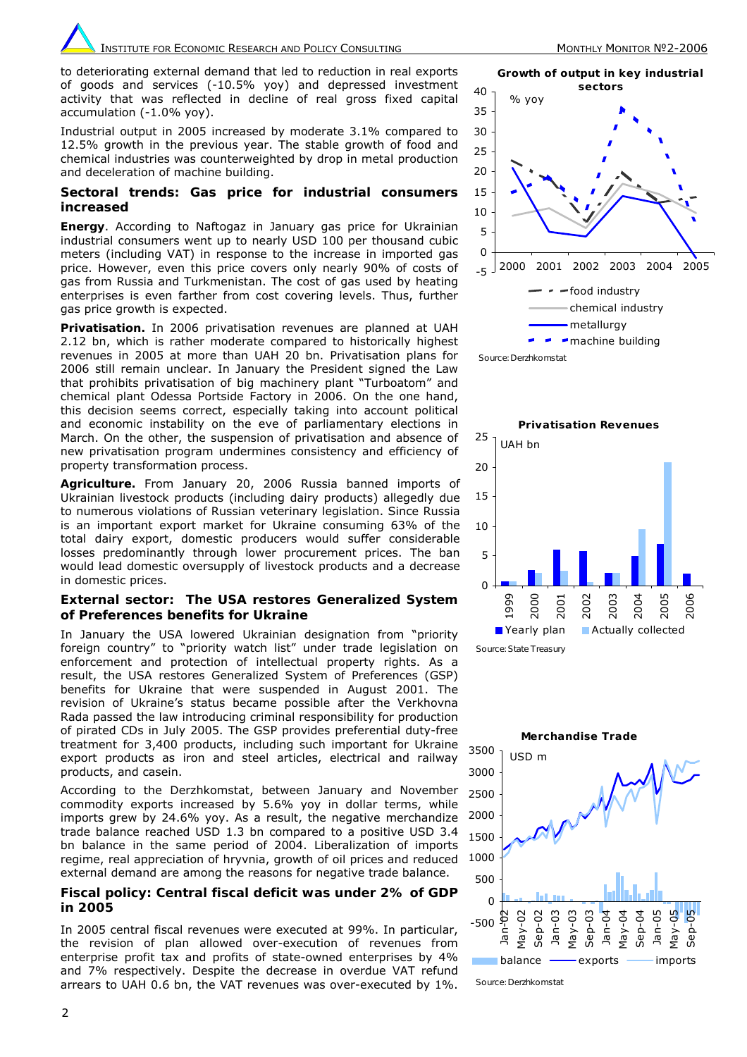to deteriorating external demand that led to reduction in real exports of goods and services (-10.5% yoy) and depressed investment activity that was reflected in decline of real gross fixed capital accumulation (-1.0% yoy).

Industrial output in 2005 increased by moderate 3.1% compared to 12.5% growth in the previous year. The stable growth of food and chemical industries was counterweighted by drop in metal production and deceleration of machine building.

#### **Sectoral trends: Gas price for industrial consumers increased**

*Energy*. According to Naftogaz in January gas price for Ukrainian industrial consumers went up to nearly USD 100 per thousand cubic meters (including VAT) in response to the increase in imported gas price. However, even this price covers only nearly 90% of costs of gas from Russia and Turkmenistan. The cost of gas used by heating enterprises is even farther from cost covering levels. Thus, further gas price growth is expected.

*Privatisation.* In 2006 privatisation revenues are planned at UAH 2.12 bn, which is rather moderate compared to historically highest revenues in 2005 at more than UAH 20 bn. Privatisation plans for 2006 still remain unclear. In January the President signed the Law that prohibits privatisation of big machinery plant "Turboatom" and chemical plant Odessa Portside Factory in 2006. On the one hand, this decision seems correct, especially taking into account political and economic instability on the eve of parliamentary elections in March. On the other, the suspension of privatisation and absence of new privatisation program undermines consistency and efficiency of property transformation process.

*Agriculture***.** From January 20, 2006 Russia banned imports of Ukrainian livestock products (including dairy products) allegedly due to numerous violations of Russian veterinary legislation. Since Russia is an important export market for Ukraine consuming 63% of the total dairy export, domestic producers would suffer considerable losses predominantly through lower procurement prices. The ban would lead domestic oversupply of livestock products and a decrease in domestic prices.

#### **External sector: The USA restores Generalized System of Preferences benefits for Ukraine**

In January the USA lowered Ukrainian designation from "priority foreign country" to "priority watch list" under trade legislation on enforcement and protection of intellectual property rights. As a result, the USA restores Generalized System of Preferences (GSP) benefits for Ukraine that were suspended in August 2001. The revision of Ukraine's status became possible after the Verkhovna Rada passed the law introducing criminal responsibility for production of pirated CDs in July 2005. The GSP provides preferential duty-free treatment for 3,400 products, including such important for Ukraine export products as iron and steel articles, electrical and railway products, and casein.

According to the Derzhkomstat, between January and November commodity exports increased by 5.6% yoy in dollar terms, while imports grew by 24.6% yoy. As a result, the negative merchandize trade balance reached USD 1.3 bn compared to a positive USD 3.4 bn balance in the same period of 2004. Liberalization of imports regime, real appreciation of hryvnia, growth of oil prices and reduced external demand are among the reasons for negative trade balance.

## **Fiscal policy: Central fiscal deficit was under 2% of GDP in 2005**

In 2005 central fiscal revenues were executed at 99%. In particular, the revision of plan allowed over-execution of revenues from enterprise profit tax and profits of state-owned enterprises by 4% and 7% respectively. Despite the decrease in overdue VAT refund arrears to UAH 0.6 bn, the VAT revenues was over-executed by 1%.

 $\overline{2}$ 





Source: Derzhkomstat



Source: State Treasury



Source: Derzhkomstat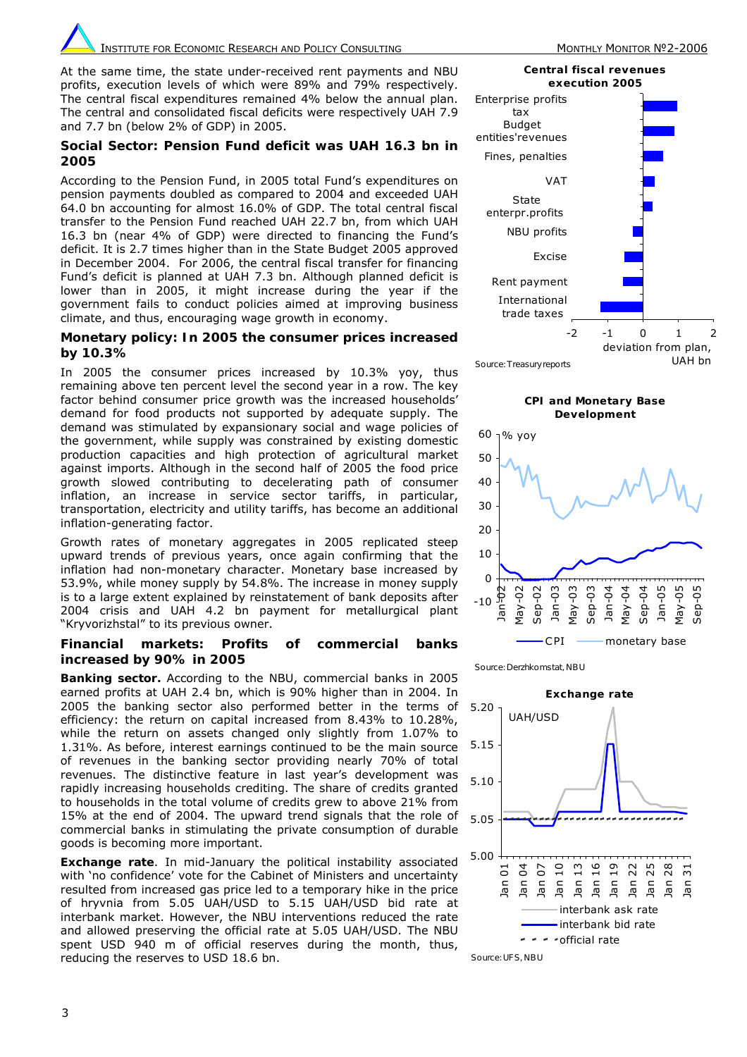At the same time, the state under-received rent payments and NBU profits, execution levels of which were 89% and 79% respectively. The central fiscal expenditures remained 4% below the annual plan. The central and consolidated fiscal deficits were respectively UAH 7.9 and 7.7 bn (below 2% of GDP) in 2005.

## **Social Sector: Pension Fund deficit was UAH 16.3 bn in 2005**

According to the Pension Fund, in 2005 total Fund's expenditures on pension payments doubled as compared to 2004 and exceeded UAH 64.0 bn accounting for almost 16.0% of GDP. The total central fiscal transfer to the Pension Fund reached UAH 22.7 bn, from which UAH 16.3 bn (near 4% of GDP) were directed to financing the Fund's deficit. It is 2.7 times higher than in the State Budget 2005 approved in December 2004. For 2006, the central fiscal transfer for financing Fund's deficit is planned at UAH 7.3 bn. Although planned deficit is lower than in 2005, it might increase during the year if the government fails to conduct policies aimed at improving business climate, and thus, encouraging wage growth in economy.

### **Monetary policy: In 2005 the consumer prices increased by 10.3%**

In 2005 the consumer prices increased by 10.3% yoy, thus remaining above ten percent level the second year in a row. The key factor behind consumer price growth was the increased households' demand for food products not supported by adequate supply. The demand was stimulated by expansionary social and wage policies of the government, while supply was constrained by existing domestic production capacities and high protection of agricultural market against imports. Although in the second half of 2005 the food price growth slowed contributing to decelerating path of consumer inflation, an increase in service sector tariffs, in particular, transportation, electricity and utility tariffs, has become an additional inflation-generating factor.

Growth rates of monetary aggregates in 2005 replicated steep upward trends of previous years, once again confirming that the inflation had non-monetary character. Monetary base increased by 53.9%, while money supply by 54.8%. The increase in money supply is to a large extent explained by reinstatement of bank deposits after 2004 crisis and UAH 4.2 bn payment for metallurgical plant "Kryvorizhstal" to its previous owner.

#### **Financial markets: Profits of commercial banks increased by 90% in 2005**

*Banking sector.* According to the NBU, commercial banks in 2005 earned profits at UAH 2.4 bn, which is 90% higher than in 2004. In 2005 the banking sector also performed better in the terms of efficiency: the return on capital increased from 8.43% to 10.28%, while the return on assets changed only slightly from 1.07% to 1.31%. As before, interest earnings continued to be the main source of revenues in the banking sector providing nearly 70% of total revenues. The distinctive feature in last year's development was rapidly increasing households crediting. The share of credits granted to households in the total volume of credits grew to above 21% from 15% at the end of 2004. The upward trend signals that the role of commercial banks in stimulating the private consumption of durable goods is becoming more important.

*Exchange rate*. In mid-January the political instability associated with 'no confidence' vote for the Cabinet of Ministers and uncertainty resulted from increased gas price led to a temporary hike in the price of hryvnia from 5.05 UAH/USD to 5.15 UAH/USD bid rate at interbank market. However, the NBU interventions reduced the rate and allowed preserving the official rate at 5.05 UAH/USD. The NBU spent USD 940 m of official reserves during the month, thus, reducing the reserves to USD 18.6 bn.

**Central fiscal revenues**



Source: Treasury reports **UAH bn** 

**CPI and Monetary Base Development** 



Source: Derzhkomstat, NB U



Source: UFS, NB U